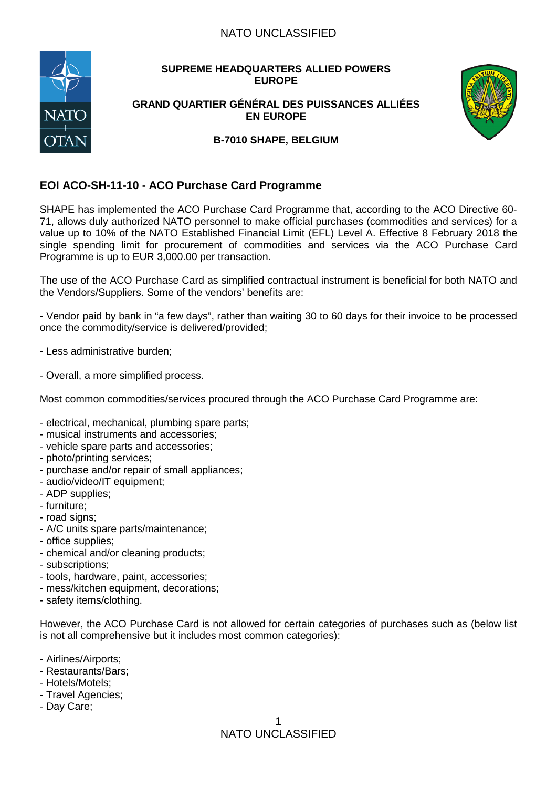## NATO UNCLASSIFIED



# **SUPREME HEADQUARTERS ALLIED POWERS EUROPE**

#### **GRAND QUARTIER GÉNÉRAL DES PUISSANCES ALLIÉES EN EUROPE**



#### **B-7010 SHAPE, BELGIUM**

# **EOI ACO-SH-11-10 - ACO Purchase Card Programme**

SHAPE has implemented the ACO Purchase Card Programme that, according to the ACO Directive 60- 71, allows duly authorized NATO personnel to make official purchases (commodities and services) for a value up to 10% of the NATO Established Financial Limit (EFL) Level A. Effective 8 February 2018 the single spending limit for procurement of commodities and services via the ACO Purchase Card Programme is up to EUR 3,000.00 per transaction.

The use of the ACO Purchase Card as simplified contractual instrument is beneficial for both NATO and the Vendors/Suppliers. Some of the vendors' benefits are:

- Vendor paid by bank in "a few days", rather than waiting 30 to 60 days for their invoice to be processed once the commodity/service is delivered/provided;

- Less administrative burden;
- Overall, a more simplified process.

Most common commodities/services procured through the ACO Purchase Card Programme are:

- electrical, mechanical, plumbing spare parts;
- musical instruments and accessories;
- vehicle spare parts and accessories;
- photo/printing services;
- purchase and/or repair of small appliances;
- audio/video/IT equipment;
- ADP supplies;
- furniture;
- road signs;
- A/C units spare parts/maintenance;
- office supplies;
- chemical and/or cleaning products;
- subscriptions;
- tools, hardware, paint, accessories;
- mess/kitchen equipment, decorations;
- safety items/clothing.

However, the ACO Purchase Card is not allowed for certain categories of purchases such as (below list is not all comprehensive but it includes most common categories):

- Airlines/Airports;
- Restaurants/Bars;
- Hotels/Motels;
- Travel Agencies;
- Day Care;